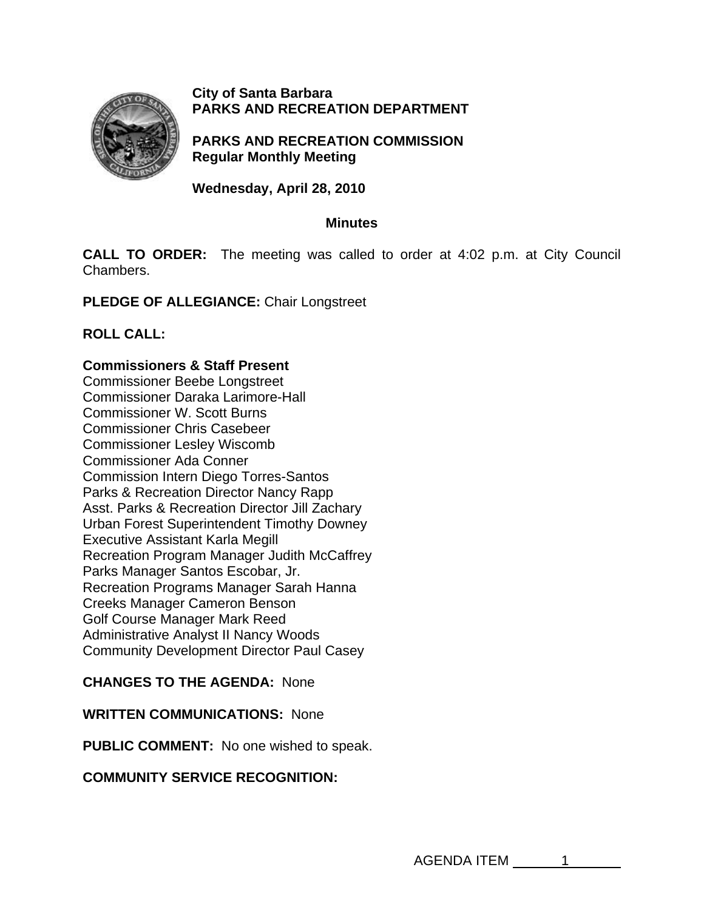

**City of Santa Barbara PARKS AND RECREATION DEPARTMENT**

**PARKS AND RECREATION COMMISSION Regular Monthly Meeting** 

**Wednesday, April 28, 2010** 

# **Minutes**

**CALL TO ORDER:** The meeting was called to order at 4:02 p.m. at City Council Chambers.

**PLEDGE OF ALLEGIANCE:** Chair Longstreet

**ROLL CALL:** 

# **Commissioners & Staff Present**

Commissioner Beebe Longstreet Commissioner Daraka Larimore-Hall Commissioner W. Scott Burns Commissioner Chris Casebeer Commissioner Lesley Wiscomb Commissioner Ada Conner Commission Intern Diego Torres-Santos Parks & Recreation Director Nancy Rapp Asst. Parks & Recreation Director Jill Zachary Urban Forest Superintendent Timothy Downey Executive Assistant Karla Megill Recreation Program Manager Judith McCaffrey Parks Manager Santos Escobar, Jr. Recreation Programs Manager Sarah Hanna Creeks Manager Cameron Benson Golf Course Manager Mark Reed Administrative Analyst II Nancy Woods Community Development Director Paul Casey

# **CHANGES TO THE AGENDA:** None

#### **WRITTEN COMMUNICATIONS:** None

**PUBLIC COMMENT:** No one wished to speak.

# **COMMUNITY SERVICE RECOGNITION:**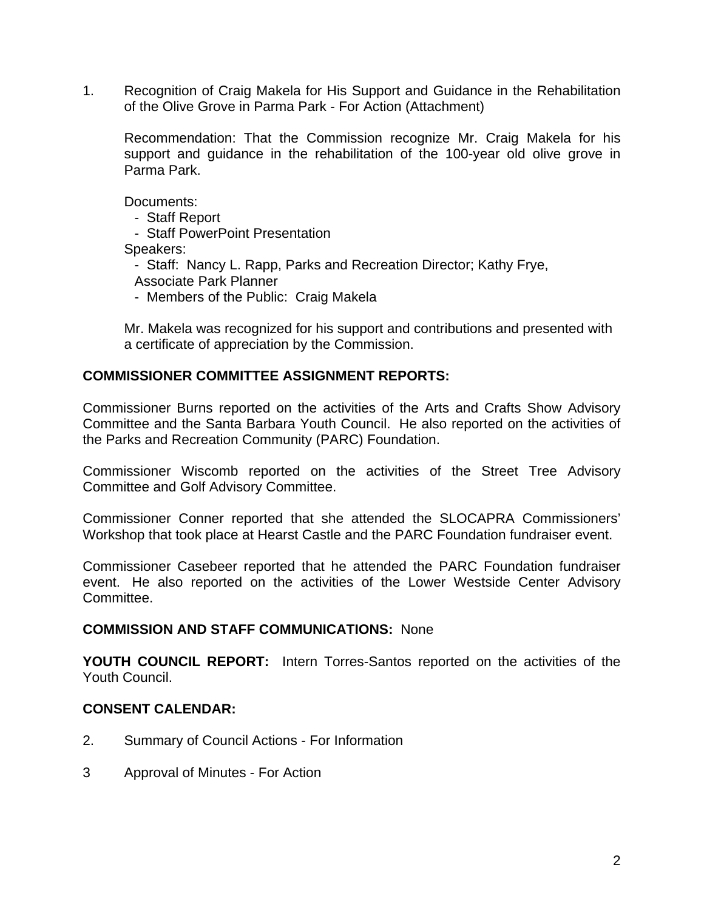1. Recognition of Craig Makela for His Support and Guidance in the Rehabilitation of the Olive Grove in Parma Park - For Action (Attachment)

Recommendation: That the Commission recognize Mr. Craig Makela for his support and guidance in the rehabilitation of the 100-year old olive grove in Parma Park.

Documents:

- Staff Report

- Staff PowerPoint Presentation

Speakers:

- Staff: Nancy L. Rapp, Parks and Recreation Director; Kathy Frye,

Associate Park Planner

- Members of the Public: Craig Makela

 Mr. Makela was recognized for his support and contributions and presented with a certificate of appreciation by the Commission.

# **COMMISSIONER COMMITTEE ASSIGNMENT REPORTS:**

Commissioner Burns reported on the activities of the Arts and Crafts Show Advisory Committee and the Santa Barbara Youth Council. He also reported on the activities of the Parks and Recreation Community (PARC) Foundation.

Commissioner Wiscomb reported on the activities of the Street Tree Advisory Committee and Golf Advisory Committee.

Commissioner Conner reported that she attended the SLOCAPRA Commissioners' Workshop that took place at Hearst Castle and the PARC Foundation fundraiser event.

Commissioner Casebeer reported that he attended the PARC Foundation fundraiser event. He also reported on the activities of the Lower Westside Center Advisory Committee.

#### **COMMISSION AND STAFF COMMUNICATIONS:** None

**YOUTH COUNCIL REPORT:** Intern Torres-Santos reported on the activities of the Youth Council.

# **CONSENT CALENDAR:**

- 2.Summary of Council Actions For Information
- 3 Approval of Minutes For Action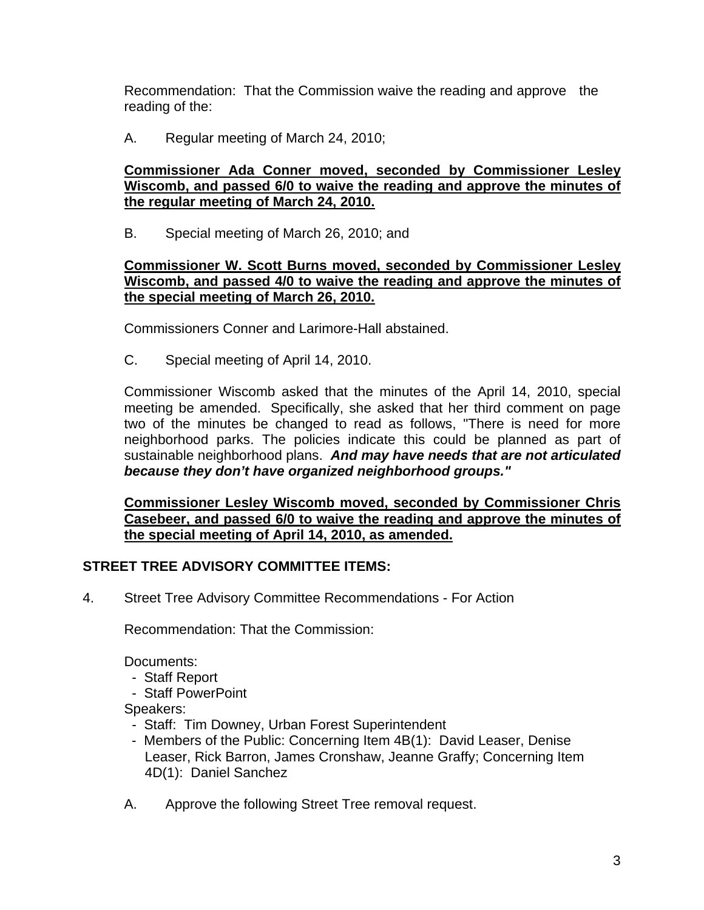Recommendation: That the Commission waive the reading and approve the reading of the:

A. Regular meeting of March 24, 2010;

# **Commissioner Ada Conner moved, seconded by Commissioner Lesley Wiscomb, and passed 6/0 to waive the reading and approve the minutes of the regular meeting of March 24, 2010.**

B.Special meeting of March 26, 2010; and

# **Commissioner W. Scott Burns moved, seconded by Commissioner Lesley Wiscomb, and passed 4/0 to waive the reading and approve the minutes of the special meeting of March 26, 2010.**

Commissioners Conner and Larimore-Hall abstained.

C.Special meeting of April 14, 2010.

Commissioner Wiscomb asked that the minutes of the April 14, 2010, special meeting be amended. Specifically, she asked that her third comment on page two of the minutes be changed to read as follows, "There is need for more neighborhood parks. The policies indicate this could be planned as part of sustainable neighborhood plans. *And may have needs that are not articulated because they don't have organized neighborhood groups."*

**Commissioner Lesley Wiscomb moved, seconded by Commissioner Chris Casebeer, and passed 6/0 to waive the reading and approve the minutes of the special meeting of April 14, 2010, as amended.** 

# **STREET TREE ADVISORY COMMITTEE ITEMS:**

4.Street Tree Advisory Committee Recommendations - For Action

Recommendation: That the Commission:

Documents:

- Staff Report
- Staff PowerPoint

Speakers:

- Staff: Tim Downey, Urban Forest Superintendent
- Members of the Public: Concerning Item 4B(1): David Leaser, Denise Leaser, Rick Barron, James Cronshaw, Jeanne Graffy; Concerning Item 4D(1): Daniel Sanchez
- A.Approve the following Street Tree removal request.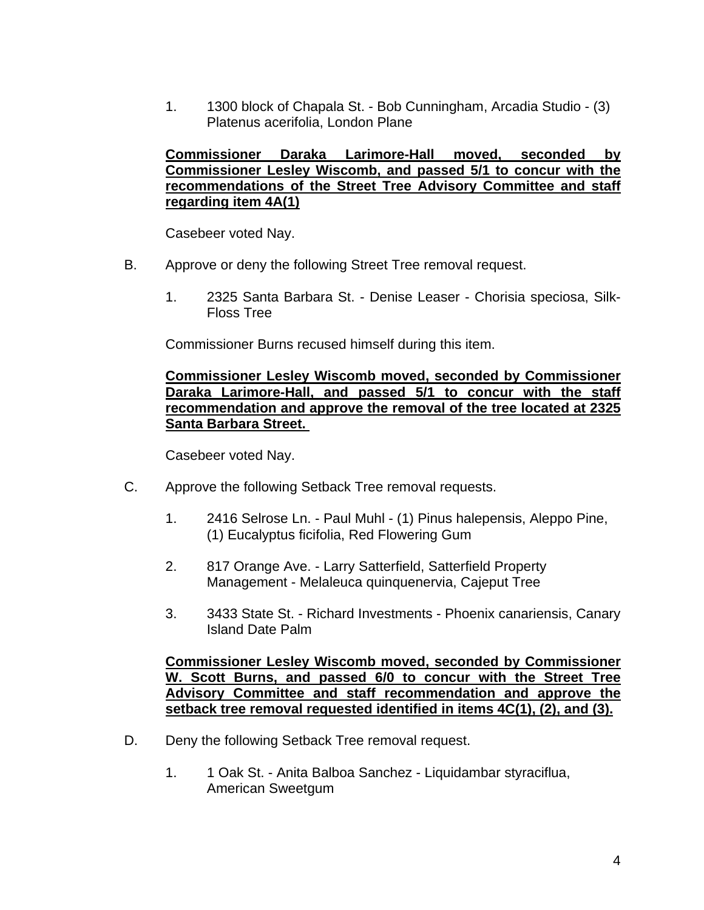1. 1300 block of Chapala St. - Bob Cunningham, Arcadia Studio - (3) Platenus acerifolia, London Plane

# **Commissioner Daraka Larimore-Hall moved, seconded by Commissioner Lesley Wiscomb, and passed 5/1 to concur with the recommendations of the Street Tree Advisory Committee and staff regarding item 4A(1)**

Casebeer voted Nay.

- B.Approve or deny the following Street Tree removal request.
	- 1.2325 Santa Barbara St. Denise Leaser Chorisia speciosa, Silk- Floss Tree

Commissioner Burns recused himself during this item.

## **Commissioner Lesley Wiscomb moved, seconded by Commissioner Daraka Larimore-Hall, and passed 5/1 to concur with the staff recommendation and approve the removal of the tree located at 2325 Santa Barbara Street.**

Casebeer voted Nay.

- C.Approve the following Setback Tree removal requests.
	- 1. 2416 Selrose Ln. Paul Muhl (1) Pinus halepensis, Aleppo Pine, (1) Eucalyptus ficifolia, Red Flowering Gum
	- 2. 817 Orange Ave. Larry Satterfield, Satterfield Property Management - Melaleuca quinquenervia, Cajeput Tree
	- 3. 3433 State St. Richard Investments Phoenix canariensis, Canary Island Date Palm

**Commissioner Lesley Wiscomb moved, seconded by Commissioner W. Scott Burns, and passed 6/0 to concur with the Street Tree Advisory Committee and staff recommendation and approve the setback tree removal requested identified in items 4C(1), (2), and (3).** 

- D.Deny the following Setback Tree removal request.
	- 1.1 Oak St. Anita Balboa Sanchez Liquidambar styraciflua, American Sweetgum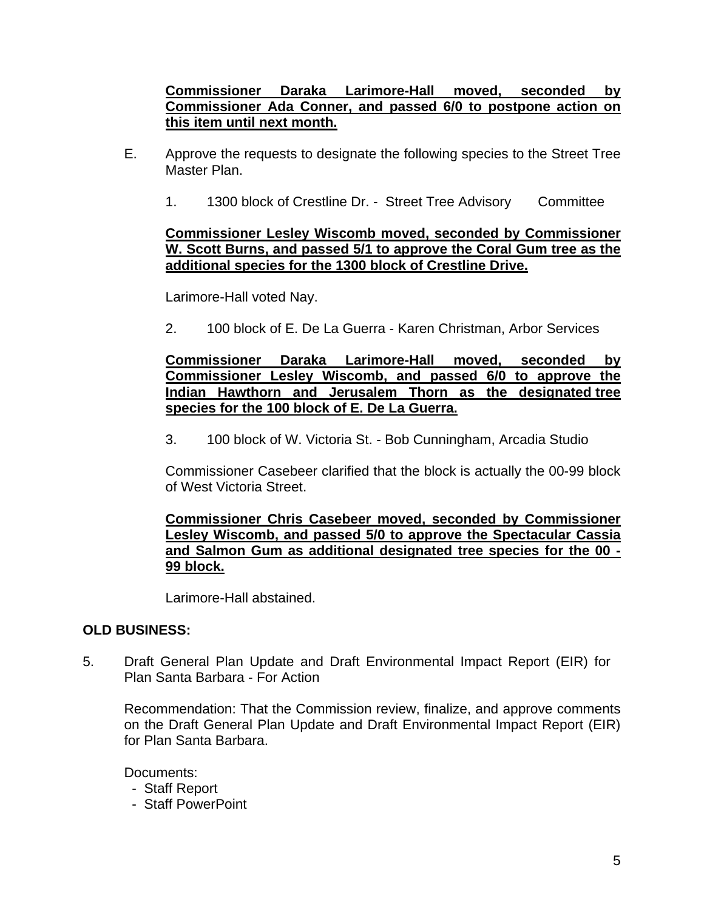# **Commissioner Daraka Larimore-Hall moved, seconded by Commissioner Ada Conner, and passed 6/0 to postpone action on this item until next month.**

- E. Approve the requests to designate the following species to the Street Tree Master Plan.
	- 1. 1300 block of Crestline Dr. Street Tree Advisory Committee

# **Commissioner Lesley Wiscomb moved, seconded by Commissioner W. Scott Burns, and passed 5/1 to approve the Coral Gum tree as the additional species for the 1300 block of Crestline Drive.**

Larimore-Hall voted Nay.

2.100 block of E. De La Guerra - Karen Christman, Arbor Services

## **Commissioner Daraka Larimore-Hall moved, seconded by Commissioner Lesley Wiscomb, and passed 6/0 to approve the Indian Hawthorn and Jerusalem Thorn as the designated tree species for the 100 block of E. De La Guerra.**

3.100 block of W. Victoria St. - Bob Cunningham, Arcadia Studio

Commissioner Casebeer clarified that the block is actually the 00-99 block of West Victoria Street.

**Commissioner Chris Casebeer moved, seconded by Commissioner Lesley Wiscomb, and passed 5/0 to approve the Spectacular Cassia and Salmon Gum as additional designated tree species for the 00 - 99 block.** 

Larimore-Hall abstained.

# **OLD BUSINESS:**

5.Draft General Plan Update and Draft Environmental Impact Report (EIR) for Plan Santa Barbara - For Action

Recommendation: That the Commission review, finalize, and approve comments on the Draft General Plan Update and Draft Environmental Impact Report (EIR) for Plan Santa Barbara.

Documents:

- Staff Report
- Staff PowerPoint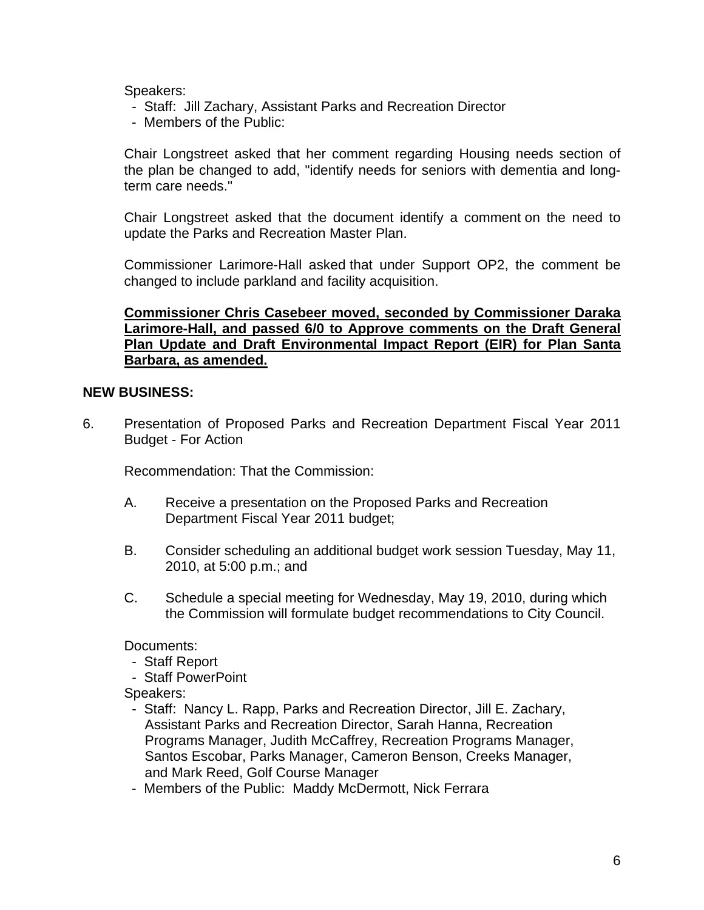Speakers:

- Staff: Jill Zachary, Assistant Parks and Recreation Director
- Members of the Public:

Chair Longstreet asked that her comment regarding Housing needs section of the plan be changed to add, "identify needs for seniors with dementia and longterm care needs."

Chair Longstreet asked that the document identify a comment on the need to update the Parks and Recreation Master Plan.

Commissioner Larimore-Hall asked that under Support OP2, the comment be changed to include parkland and facility acquisition.

# **Commissioner Chris Casebeer moved, seconded by Commissioner Daraka Larimore-Hall, and passed 6/0 to Approve comments on the Draft General Plan Update and Draft Environmental Impact Report (EIR) for Plan Santa Barbara, as amended.**

# **NEW BUSINESS:**

6. Presentation of Proposed Parks and Recreation Department Fiscal Year 2011 Budget - For Action

Recommendation: That the Commission:

- A. Receive a presentation on the Proposed Parks and Recreation Department Fiscal Year 2011 budget;
- B. Consider scheduling an additional budget work session Tuesday, May 11, 2010, at 5:00 p.m.; and
- C. Schedule a special meeting for Wednesday, May 19, 2010, during which the Commission will formulate budget recommendations to City Council.

Documents:

- Staff Report
- Staff PowerPoint

Speakers:

- Staff: Nancy L. Rapp, Parks and Recreation Director, Jill E. Zachary, Assistant Parks and Recreation Director, Sarah Hanna, Recreation Programs Manager, Judith McCaffrey, Recreation Programs Manager, Santos Escobar, Parks Manager, Cameron Benson, Creeks Manager, and Mark Reed, Golf Course Manager
- Members of the Public: Maddy McDermott, Nick Ferrara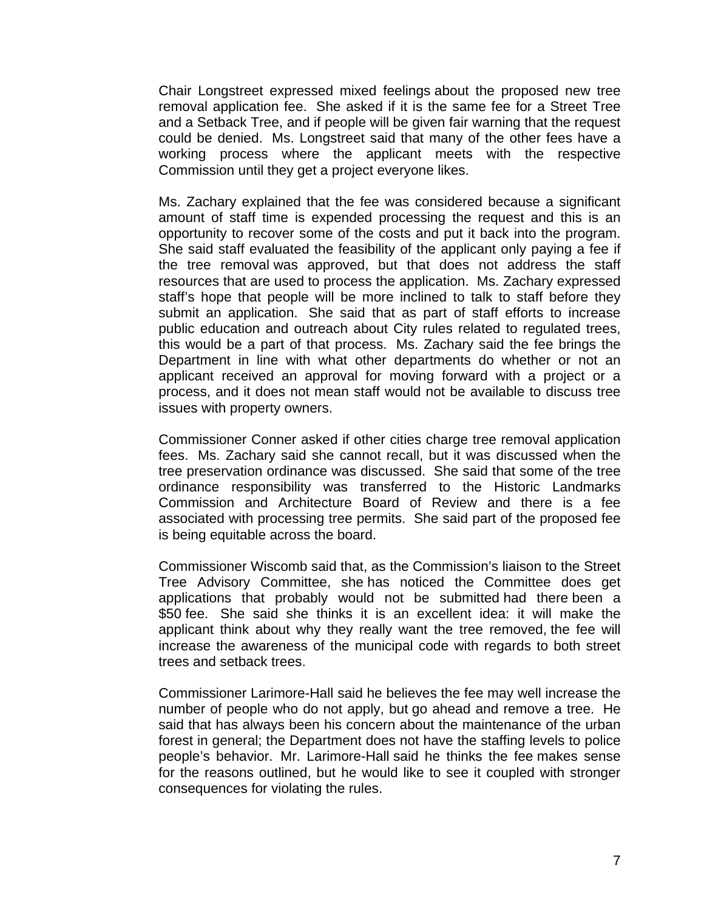Chair Longstreet expressed mixed feelings about the proposed new tree removal application fee. She asked if it is the same fee for a Street Tree and a Setback Tree, and if people will be given fair warning that the request could be denied. Ms. Longstreet said that many of the other fees have a working process where the applicant meets with the respective Commission until they get a project everyone likes.

Ms. Zachary explained that the fee was considered because a significant amount of staff time is expended processing the request and this is an opportunity to recover some of the costs and put it back into the program. She said staff evaluated the feasibility of the applicant only paying a fee if the tree removal was approved, but that does not address the staff resources that are used to process the application. Ms. Zachary expressed staff's hope that people will be more inclined to talk to staff before they submit an application. She said that as part of staff efforts to increase public education and outreach about City rules related to regulated trees, this would be a part of that process. Ms. Zachary said the fee brings the Department in line with what other departments do whether or not an applicant received an approval for moving forward with a project or a process, and it does not mean staff would not be available to discuss tree issues with property owners.

Commissioner Conner asked if other cities charge tree removal application fees. Ms. Zachary said she cannot recall, but it was discussed when the tree preservation ordinance was discussed. She said that some of the tree ordinance responsibility was transferred to the Historic Landmarks Commission and Architecture Board of Review and there is a fee associated with processing tree permits. She said part of the proposed fee is being equitable across the board.

Commissioner Wiscomb said that, as the Commission's liaison to the Street Tree Advisory Committee, she has noticed the Committee does get applications that probably would not be submitted had there been a \$50 fee. She said she thinks it is an excellent idea: it will make the applicant think about why they really want the tree removed, the fee will increase the awareness of the municipal code with regards to both street trees and setback trees.

Commissioner Larimore-Hall said he believes the fee may well increase the number of people who do not apply, but go ahead and remove a tree. He said that has always been his concern about the maintenance of the urban forest in general; the Department does not have the staffing levels to police people's behavior. Mr. Larimore-Hall said he thinks the fee makes sense for the reasons outlined, but he would like to see it coupled with stronger consequences for violating the rules.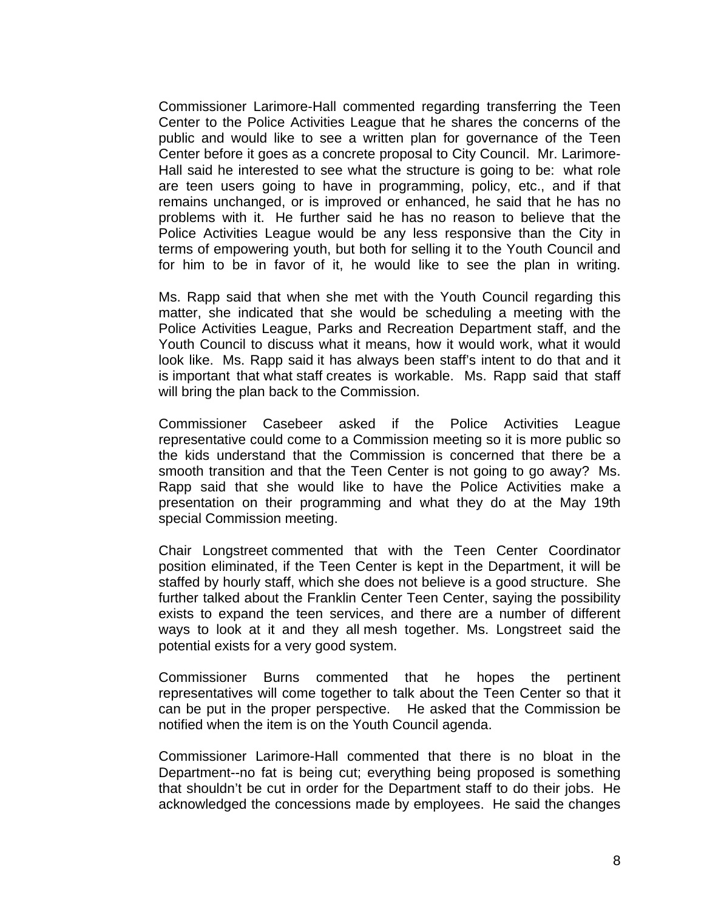Commissioner Larimore-Hall commented regarding transferring the Teen Center to the Police Activities League that he shares the concerns of the public and would like to see a written plan for governance of the Teen Center before it goes as a concrete proposal to City Council. Mr. Larimore-Hall said he interested to see what the structure is going to be: what role are teen users going to have in programming, policy, etc., and if that remains unchanged, or is improved or enhanced, he said that he has no problems with it. He further said he has no reason to believe that the Police Activities League would be any less responsive than the City in terms of empowering youth, but both for selling it to the Youth Council and for him to be in favor of it, he would like to see the plan in writing.

Ms. Rapp said that when she met with the Youth Council regarding this matter, she indicated that she would be scheduling a meeting with the Police Activities League, Parks and Recreation Department staff, and the Youth Council to discuss what it means, how it would work, what it would look like. Ms. Rapp said it has always been staff's intent to do that and it is important that what staff creates is workable. Ms. Rapp said that staff will bring the plan back to the Commission.

Commissioner Casebeer asked if the Police Activities League representative could come to a Commission meeting so it is more public so the kids understand that the Commission is concerned that there be a smooth transition and that the Teen Center is not going to go away? Ms. Rapp said that she would like to have the Police Activities make a presentation on their programming and what they do at the May 19th special Commission meeting.

Chair Longstreet commented that with the Teen Center Coordinator position eliminated, if the Teen Center is kept in the Department, it will be staffed by hourly staff, which she does not believe is a good structure. She further talked about the Franklin Center Teen Center, saying the possibility exists to expand the teen services, and there are a number of different ways to look at it and they all mesh together. Ms. Longstreet said the potential exists for a very good system.

Commissioner Burns commented that he hopes the pertinent representatives will come together to talk about the Teen Center so that it can be put in the proper perspective. He asked that the Commission be notified when the item is on the Youth Council agenda.

Commissioner Larimore-Hall commented that there is no bloat in the Department--no fat is being cut; everything being proposed is something that shouldn't be cut in order for the Department staff to do their jobs. He acknowledged the concessions made by employees. He said the changes